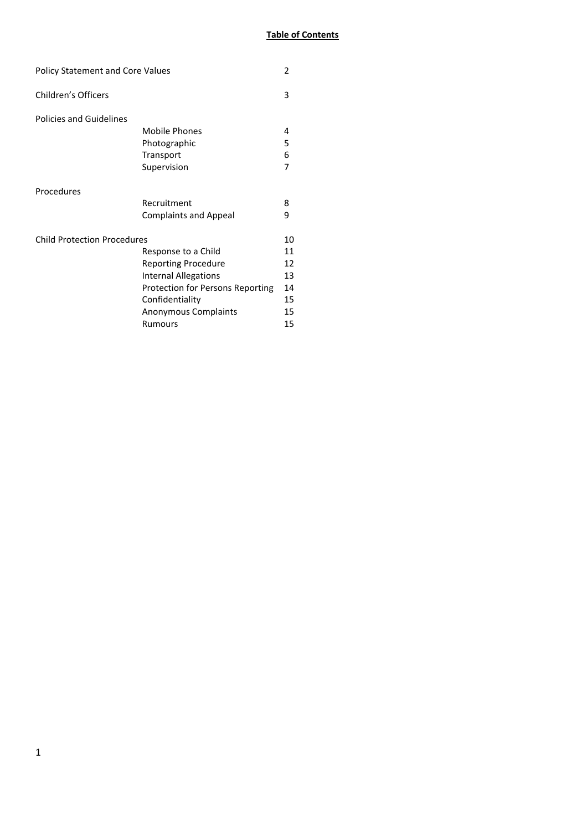| <b>Policy Statement and Core Values</b> |                                                                                                                                                                                   | 2                                            |
|-----------------------------------------|-----------------------------------------------------------------------------------------------------------------------------------------------------------------------------------|----------------------------------------------|
| <b>Children's Officers</b>              |                                                                                                                                                                                   | 3                                            |
| <b>Policies and Guidelines</b>          | <b>Mobile Phones</b><br>Photographic<br>Transport<br>Supervision                                                                                                                  | 4<br>5<br>6<br>7                             |
| Procedures                              | Recruitment<br><b>Complaints and Appeal</b>                                                                                                                                       | 8<br>9                                       |
| <b>Child Protection Procedures</b>      | Response to a Child<br><b>Reporting Procedure</b><br><b>Internal Allegations</b><br>Protection for Persons Reporting<br>Confidentiality<br><b>Anonymous Complaints</b><br>Rumours | 10<br>11<br>12<br>13<br>14<br>15<br>15<br>15 |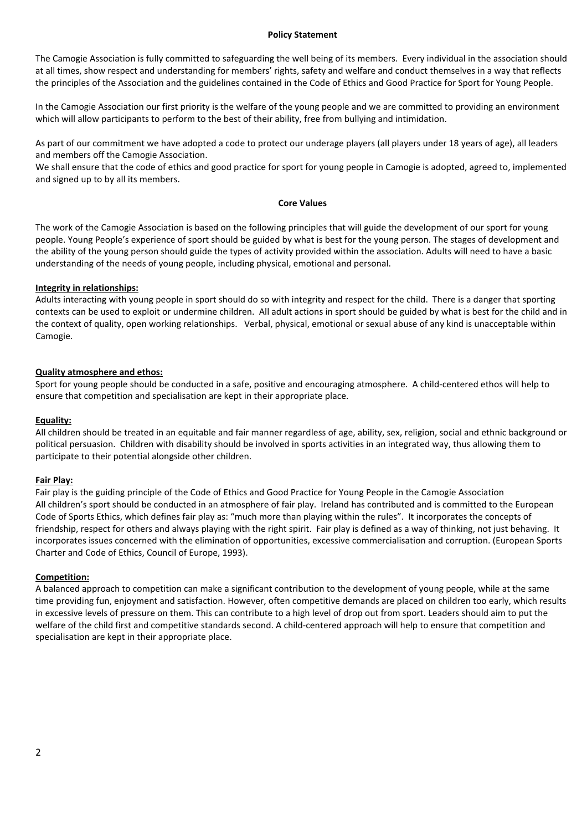### **Policy Statement**

The Camogie Association is fully committed to safeguarding the well being of its members. Every individual in the association should at all times, show respect and understanding for members' rights, safety and welfare and conduct themselves in a way that reflects the principles of the Association and the guidelines contained in the Code of Ethics and Good Practice for Sport for Young People.

In the Camogie Association our first priority is the welfare of the young people and we are committed to providing an environment which will allow participants to perform to the best of their ability, free from bullying and intimidation.

As part of our commitment we have adopted a code to protect our underage players (all players under 18 years of age), all leaders and members off the Camogie Association.

We shall ensure that the code of ethics and good practice for sport for young people in Camogie is adopted, agreed to, implemented and signed up to by all its members.

### **Core Values**

The work of the Camogie Association is based on the following principles that will guide the development of our sport for young people. Young People's experience of sport should be guided by what is best for the young person. The stages of development and the ability of the young person should guide the types of activity provided within the association. Adults will need to have a basic understanding of the needs of young people, including physical, emotional and personal.

## **Integrity in relationships:**

Adults interacting with young people in sport should do so with integrity and respect for the child. There is a danger that sporting contexts can be used to exploit or undermine children. All adult actions in sport should be guided by what is best for the child and in the context of quality, open working relationships. Verbal, physical, emotional or sexual abuse of any kind is unacceptable within Camogie.

# **Quality atmosphere and ethos:**

Sport for young people should be conducted in a safe, positive and encouraging atmosphere. A child-centered ethos will help to ensure that competition and specialisation are kept in their appropriate place.

# **Equality:**

All children should be treated in an equitable and fair manner regardless of age, ability, sex, religion, social and ethnic background or political persuasion. Children with disability should be involved in sports activities in an integrated way, thus allowing them to participate to their potential alongside other children.

## **Fair Play:**

Fair play is the guiding principle of the Code of Ethics and Good Practice for Young People in the Camogie Association All children's sport should be conducted in an atmosphere of fair play. Ireland has contributed and is committed to the European Code of Sports Ethics, which defines fair play as: "much more than playing within the rules". It incorporates the concepts of friendship, respect for others and always playing with the right spirit. Fair play is defined as a way of thinking, not just behaving. It incorporates issues concerned with the elimination of opportunities, excessive commercialisation and corruption. (European Sports Charter and Code of Ethics, Council of Europe, 1993).

## **Competition:**

A balanced approach to competition can make a significant contribution to the development of young people, while at the same time providing fun, enjoyment and satisfaction. However, often competitive demands are placed on children too early, which results in excessive levels of pressure on them. This can contribute to a high level of drop out from sport. Leaders should aim to put the welfare of the child first and competitive standards second. A child-centered approach will help to ensure that competition and specialisation are kept in their appropriate place.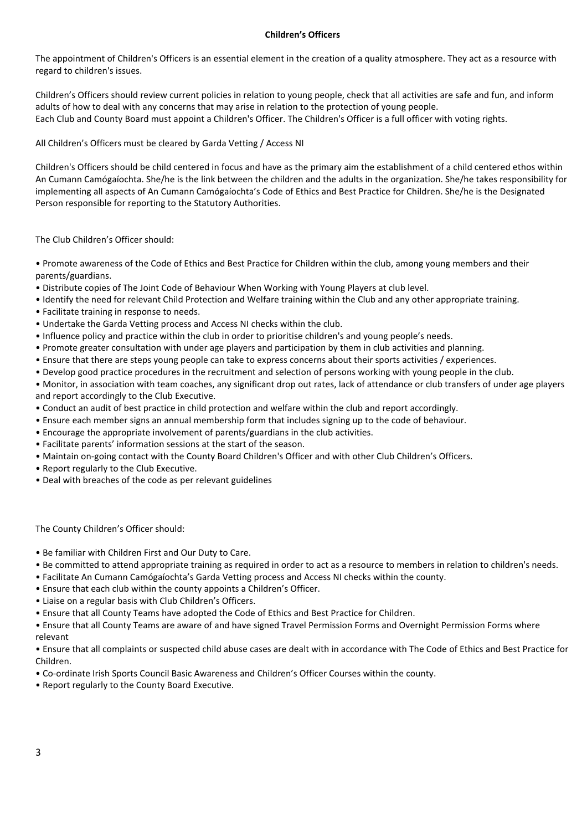# **Children's Officers**

The appointment of Children's Officers is an essential element in the creation of a quality atmosphere. They act as a resource with regard to children's issues.

Children's Officers should review current policies in relation to young people, check that all activities are safe and fun, and inform adults of how to deal with any concerns that may arise in relation to the protection of young people. Each Club and County Board must appoint a Children's Officer. The Children's Officer is a full officer with voting rights.

All Children's Officers must be cleared by Garda Vetting / Access NI

Children's Officers should be child centered in focus and have as the primary aim the establishment of a child centered ethos within An Cumann Camógaíochta. She/he is the link between the children and the adults in the organization. She/he takes responsibility for implementing all aspects of An Cumann Camógaíochta's Code of Ethics and Best Practice for Children. She/he is the Designated Person responsible for reporting to the Statutory Authorities.

The Club Children's Officer should:

• Promote awareness of the Code of Ethics and Best Practice for Children within the club, among young members and their parents/guardians.

- Distribute copies of The Joint Code of Behaviour When Working with Young Players at club level.
- Identify the need for relevant Child Protection and Welfare training within the Club and any other appropriate training.
- Facilitate training in response to needs.
- Undertake the Garda Vetting process and Access NI checks within the club.
- Influence policy and practice within the club in order to prioritise children's and young people's needs.
- Promote greater consultation with under age players and participation by them in club activities and planning.
- Ensure that there are steps young people can take to express concerns about their sports activities / experiences.
- Develop good practice procedures in the recruitment and selection of persons working with young people in the club.
- Monitor, in association with team coaches, any significant drop out rates, lack of attendance or club transfers of under age players and report accordingly to the Club Executive.
- Conduct an audit of best practice in child protection and welfare within the club and report accordingly.
- Ensure each member signs an annual membership form that includes signing up to the code of behaviour.
- Encourage the appropriate involvement of parents/guardians in the club activities.
- Facilitate parents' information sessions at the start of the season.
- Maintain on-going contact with the County Board Children's Officer and with other Club Children's Officers.
- Report regularly to the Club Executive.
- Deal with breaches of the code as per relevant guidelines

The County Children's Officer should:

• Be familiar with Children First and Our Duty to Care.

- Be committed to attend appropriate training as required in order to act as a resource to members in relation to children's needs.
- Facilitate An Cumann Camógaíochta's Garda Vetting process and Access NI checks within the county.
- Ensure that each club within the county appoints a Children's Officer.
- Liaise on a regular basis with Club Children's Officers.
- Ensure that all County Teams have adopted the Code of Ethics and Best Practice for Children.
- Ensure that all County Teams are aware of and have signed Travel Permission Forms and Overnight Permission Forms where relevant
- Ensure that all complaints or suspected child abuse cases are dealt with in accordance with The Code of Ethics and Best Practice for Children.
- Co-ordinate Irish Sports Council Basic Awareness and Children's Officer Courses within the county.
- Report regularly to the County Board Executive.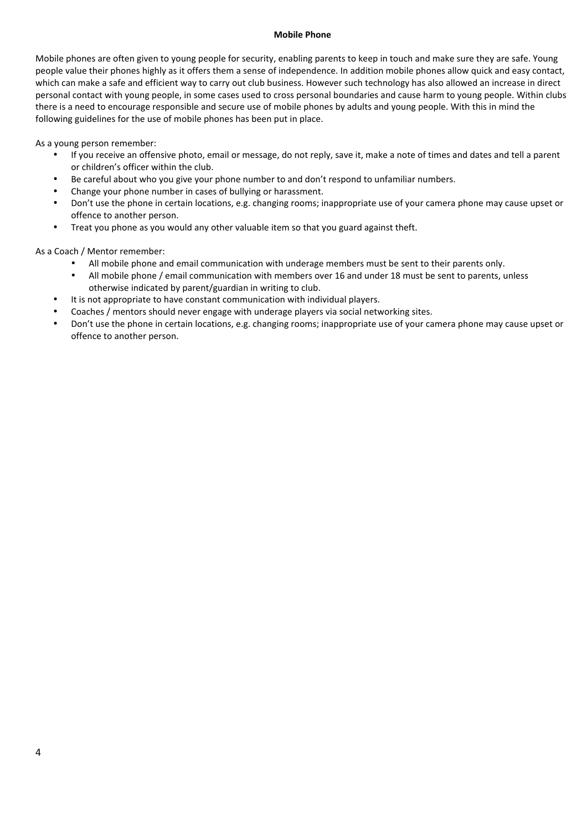### **Mobile Phone**

Mobile phones are often given to young people for security, enabling parents to keep in touch and make sure they are safe. Young people value their phones highly as it offers them a sense of independence. In addition mobile phones allow quick and easy contact, which can make a safe and efficient way to carry out club business. However such technology has also allowed an increase in direct personal contact with young people, in some cases used to cross personal boundaries and cause harm to young people. Within clubs there is a need to encourage responsible and secure use of mobile phones by adults and young people. With this in mind the following guidelines for the use of mobile phones has been put in place.

As a young person remember:

- If you receive an offensive photo, email or message, do not reply, save it, make a note of times and dates and tell a parent or children's officer within the club.
- Be careful about who you give your phone number to and don't respond to unfamiliar numbers.
- Change your phone number in cases of bullying or harassment.
- Don't use the phone in certain locations, e.g. changing rooms; inappropriate use of your camera phone may cause upset or offence to another person.
- Treat you phone as you would any other valuable item so that you guard against theft.

As a Coach / Mentor remember:

- All mobile phone and email communication with underage members must be sent to their parents only.
- All mobile phone / email communication with members over 16 and under 18 must be sent to parents, unless otherwise indicated by parent/guardian in writing to club.
- It is not appropriate to have constant communication with individual players.
- Coaches / mentors should never engage with underage players via social networking sites.
- Don't use the phone in certain locations, e.g. changing rooms; inappropriate use of your camera phone may cause upset or offence to another person.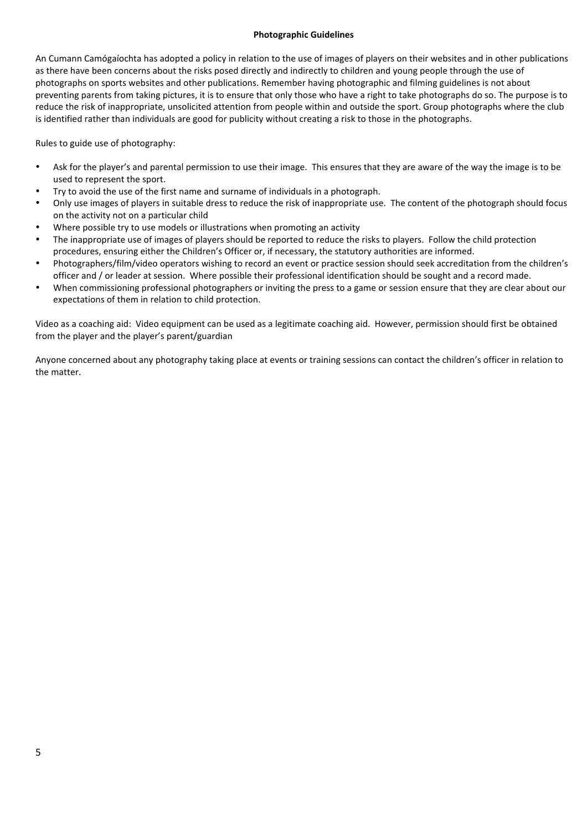### **Photographic Guidelines**

An Cumann Camógaíochta has adopted a policy in relation to the use of images of players on their websites and in other publications as there have been concerns about the risks posed directly and indirectly to children and young people through the use of photographs on sports websites and other publications. Remember having photographic and filming guidelines is not about preventing parents from taking pictures, it is to ensure that only those who have a right to take photographs do so. The purpose is to reduce the risk of inappropriate, unsolicited attention from people within and outside the sport. Group photographs where the club is identified rather than individuals are good for publicity without creating a risk to those in the photographs.

Rules to guide use of photography:

- Ask for the player's and parental permission to use their image. This ensures that they are aware of the way the image is to be used to represent the sport.
- Try to avoid the use of the first name and surname of individuals in a photograph.
- Only use images of players in suitable dress to reduce the risk of inappropriate use. The content of the photograph should focus on the activity not on a particular child
- Where possible try to use models or illustrations when promoting an activity
- The inappropriate use of images of players should be reported to reduce the risks to players. Follow the child protection procedures, ensuring either the Children's Officer or, if necessary, the statutory authorities are informed.
- Photographers/film/video operators wishing to record an event or practice session should seek accreditation from the children's officer and / or leader at session. Where possible their professional identification should be sought and a record made.
- When commissioning professional photographers or inviting the press to a game or session ensure that they are clear about our expectations of them in relation to child protection.

Video as a coaching aid: Video equipment can be used as a legitimate coaching aid. However, permission should first be obtained from the player and the player's parent/guardian

Anyone concerned about any photography taking place at events or training sessions can contact the children's officer in relation to the matter.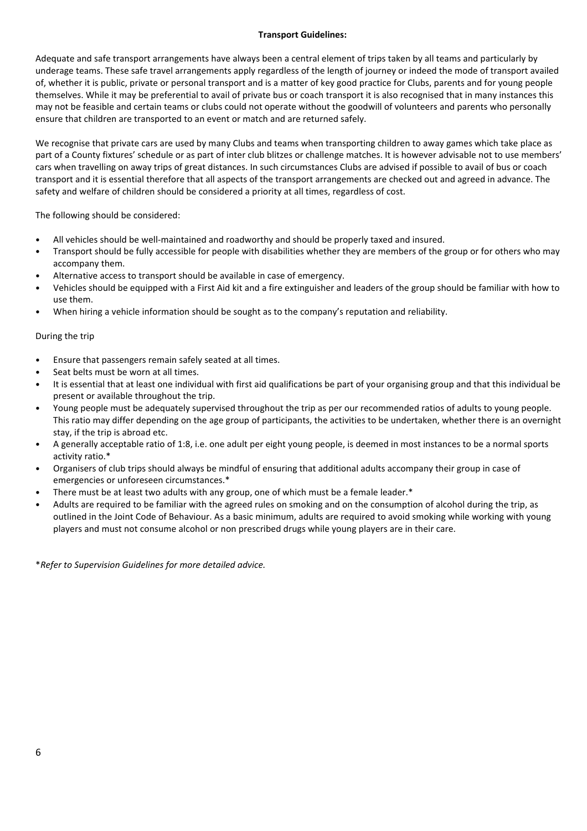# **Transport Guidelines:**

Adequate and safe transport arrangements have always been a central element of trips taken by all teams and particularly by underage teams. These safe travel arrangements apply regardless of the length of journey or indeed the mode of transport availed of, whether it is public, private or personal transport and is a matter of key good practice for Clubs, parents and for young people themselves. While it may be preferential to avail of private bus or coach transport it is also recognised that in many instances this may not be feasible and certain teams or clubs could not operate without the goodwill of volunteers and parents who personally ensure that children are transported to an event or match and are returned safely.

We recognise that private cars are used by many Clubs and teams when transporting children to away games which take place as part of a County fixtures' schedule or as part of inter club blitzes or challenge matches. It is however advisable not to use members' cars when travelling on away trips of great distances. In such circumstances Clubs are advised if possible to avail of bus or coach transport and it is essential therefore that all aspects of the transport arrangements are checked out and agreed in advance. The safety and welfare of children should be considered a priority at all times, regardless of cost.

The following should be considered:

- All vehicles should be well-maintained and roadworthy and should be properly taxed and insured.
- Transport should be fully accessible for people with disabilities whether they are members of the group or for others who may accompany them.
- Alternative access to transport should be available in case of emergency.
- Vehicles should be equipped with a First Aid kit and a fire extinguisher and leaders of the group should be familiar with how to use them.
- When hiring a vehicle information should be sought as to the company's reputation and reliability.

## During the trip

- Ensure that passengers remain safely seated at all times.
- Seat belts must be worn at all times.
- It is essential that at least one individual with first aid qualifications be part of your organising group and that this individual be present or available throughout the trip.
- Young people must be adequately supervised throughout the trip as per our recommended ratios of adults to young people. This ratio may differ depending on the age group of participants, the activities to be undertaken, whether there is an overnight stay, if the trip is abroad etc.
- A generally acceptable ratio of 1:8, i.e. one adult per eight young people, is deemed in most instances to be a normal sports activity ratio.\*
- Organisers of club trips should always be mindful of ensuring that additional adults accompany their group in case of emergencies or unforeseen circumstances.\*
- There must be at least two adults with any group, one of which must be a female leader. $*$
- Adults are required to be familiar with the agreed rules on smoking and on the consumption of alcohol during the trip, as outlined in the Joint Code of Behaviour. As a basic minimum, adults are required to avoid smoking while working with young players and must not consume alcohol or non prescribed drugs while young players are in their care.

\**Refer to Supervision Guidelines for more detailed advice.*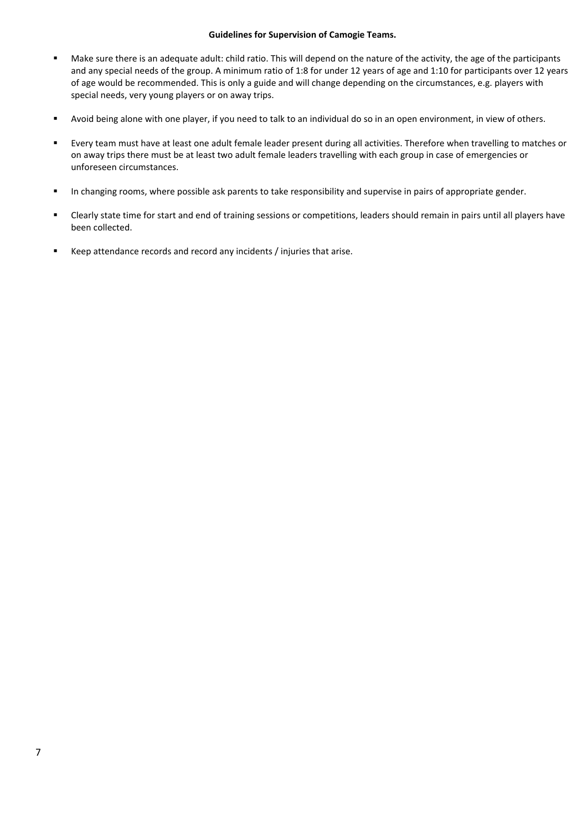## **Guidelines for Supervision of Camogie Teams.**

- Make sure there is an adequate adult: child ratio. This will depend on the nature of the activity, the age of the participants and any special needs of the group. A minimum ratio of 1:8 for under 12 years of age and 1:10 for participants over 12 years of age would be recommended. This is only a guide and will change depending on the circumstances, e.g. players with special needs, very young players or on away trips.
- **Avoid being alone with one player, if you need to talk to an individual do so in an open environment, in view of others.**
- Every team must have at least one adult female leader present during all activities. Therefore when travelling to matches or on away trips there must be at least two adult female leaders travelling with each group in case of emergencies or unforeseen circumstances.
- In changing rooms, where possible ask parents to take responsibility and supervise in pairs of appropriate gender.
- Clearly state time for start and end of training sessions or competitions, leaders should remain in pairs until all players have been collected.
- Keep attendance records and record any incidents / injuries that arise.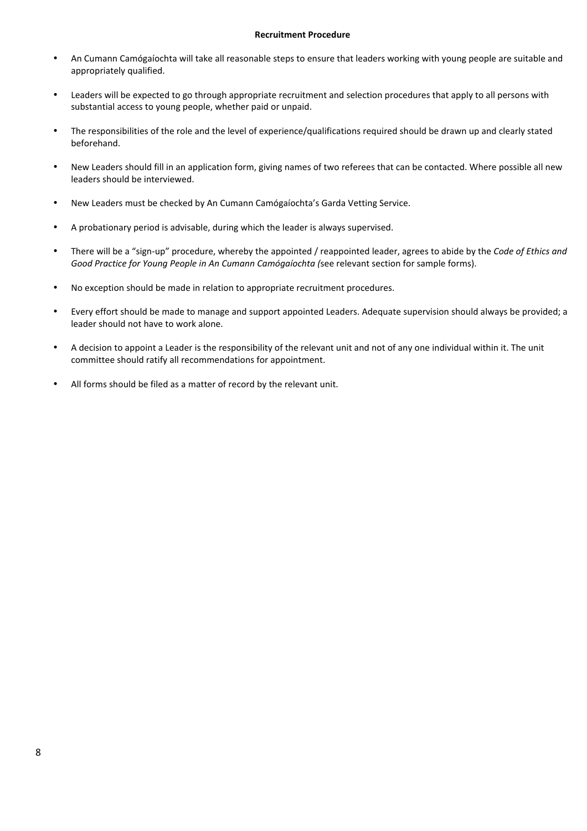#### **Recruitment Procedure**

- An Cumann Camógaíochta will take all reasonable steps to ensure that leaders working with young people are suitable and appropriately qualified.
- Leaders will be expected to go through appropriate recruitment and selection procedures that apply to all persons with substantial access to young people, whether paid or unpaid.
- The responsibilities of the role and the level of experience/qualifications required should be drawn up and clearly stated beforehand.
- New Leaders should fill in an application form, giving names of two referees that can be contacted. Where possible all new leaders should be interviewed.
- New Leaders must be checked by An Cumann Camógaíochta's Garda Vetting Service.
- A probationary period is advisable, during which the leader is always supervised.
- There will be a "sign-up" procedure, whereby the appointed / reappointed leader, agrees to abide by the *Code of Ethics and* Good Practice for Young People in An Cumann Camógaíochta (see relevant section for sample forms).
- No exception should be made in relation to appropriate recruitment procedures.
- Every effort should be made to manage and support appointed Leaders. Adequate supervision should always be provided; a leader should not have to work alone.
- A decision to appoint a Leader is the responsibility of the relevant unit and not of any one individual within it. The unit committee should ratify all recommendations for appointment.
- All forms should be filed as a matter of record by the relevant unit.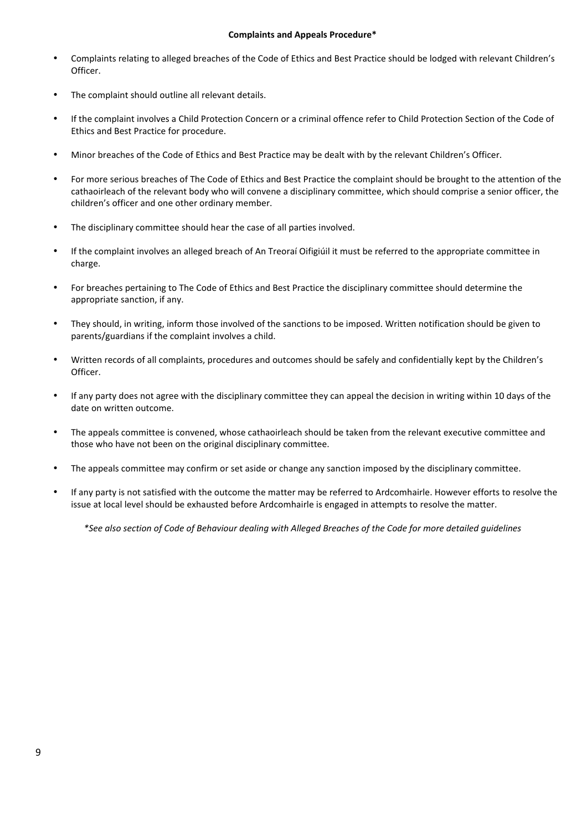### **Complaints and Appeals Procedure\***

- Complaints relating to alleged breaches of the Code of Ethics and Best Practice should be lodged with relevant Children's Officer.
- The complaint should outline all relevant details.
- If the complaint involves a Child Protection Concern or a criminal offence refer to Child Protection Section of the Code of Ethics and Best Practice for procedure.
- Minor breaches of the Code of Ethics and Best Practice may be dealt with by the relevant Children's Officer.
- For more serious breaches of The Code of Ethics and Best Practice the complaint should be brought to the attention of the cathaoirleach of the relevant body who will convene a disciplinary committee, which should comprise a senior officer, the children's officer and one other ordinary member.
- The disciplinary committee should hear the case of all parties involved.
- If the complaint involves an alleged breach of An Treoraí Oifigiúil it must be referred to the appropriate committee in charge.
- For breaches pertaining to The Code of Ethics and Best Practice the disciplinary committee should determine the appropriate sanction, if any.
- They should, in writing, inform those involved of the sanctions to be imposed. Written notification should be given to parents/guardians if the complaint involves a child.
- Written records of all complaints, procedures and outcomes should be safely and confidentially kept by the Children's Officer.
- If any party does not agree with the disciplinary committee they can appeal the decision in writing within 10 days of the date on written outcome.
- The appeals committee is convened, whose cathaoirleach should be taken from the relevant executive committee and those who have not been on the original disciplinary committee.
- The appeals committee may confirm or set aside or change any sanction imposed by the disciplinary committee.
- If any party is not satisfied with the outcome the matter may be referred to Ardcomhairle. However efforts to resolve the issue at local level should be exhausted before Ardcomhairle is engaged in attempts to resolve the matter.

*\*See also section of Code of Behaviour dealing with Alleged Breaches of the Code for more detailed guidelines*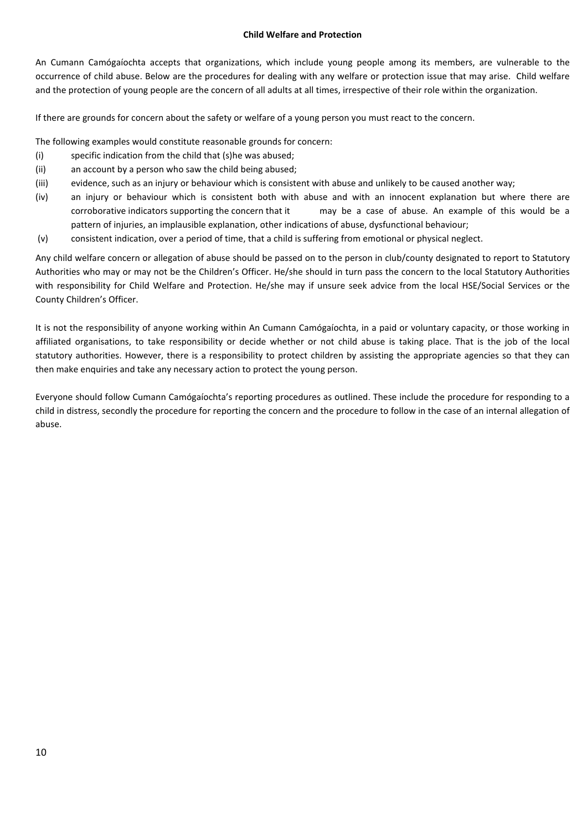### **Child Welfare and Protection**

An Cumann Camógaíochta accepts that organizations, which include young people among its members, are vulnerable to the occurrence of child abuse. Below are the procedures for dealing with any welfare or protection issue that may arise. Child welfare and the protection of young people are the concern of all adults at all times, irrespective of their role within the organization.

If there are grounds for concern about the safety or welfare of a young person you must react to the concern.

The following examples would constitute reasonable grounds for concern:

- $(i)$  specific indication from the child that  $(s)$ he was abused;
- (ii) an account by a person who saw the child being abused;
- (iii) evidence, such as an injury or behaviour which is consistent with abuse and unlikely to be caused another way;
- (iv) an injury or behaviour which is consistent both with abuse and with an innocent explanation but where there are corroborative indicators supporting the concern that it may be a case of abuse. An example of this would be a pattern of injuries, an implausible explanation, other indications of abuse, dysfunctional behaviour;
- (v) consistent indication, over a period of time, that a child is suffering from emotional or physical neglect.

Any child welfare concern or allegation of abuse should be passed on to the person in club/county designated to report to Statutory Authorities who may or may not be the Children's Officer. He/she should in turn pass the concern to the local Statutory Authorities with responsibility for Child Welfare and Protection. He/she may if unsure seek advice from the local HSE/Social Services or the County Children's Officer.

It is not the responsibility of anyone working within An Cumann Camógaíochta, in a paid or voluntary capacity, or those working in affiliated organisations, to take responsibility or decide whether or not child abuse is taking place. That is the job of the local statutory authorities. However, there is a responsibility to protect children by assisting the appropriate agencies so that they can then make enquiries and take any necessary action to protect the young person.

Everyone should follow Cumann Camógaíochta's reporting procedures as outlined. These include the procedure for responding to a child in distress, secondly the procedure for reporting the concern and the procedure to follow in the case of an internal allegation of abuse.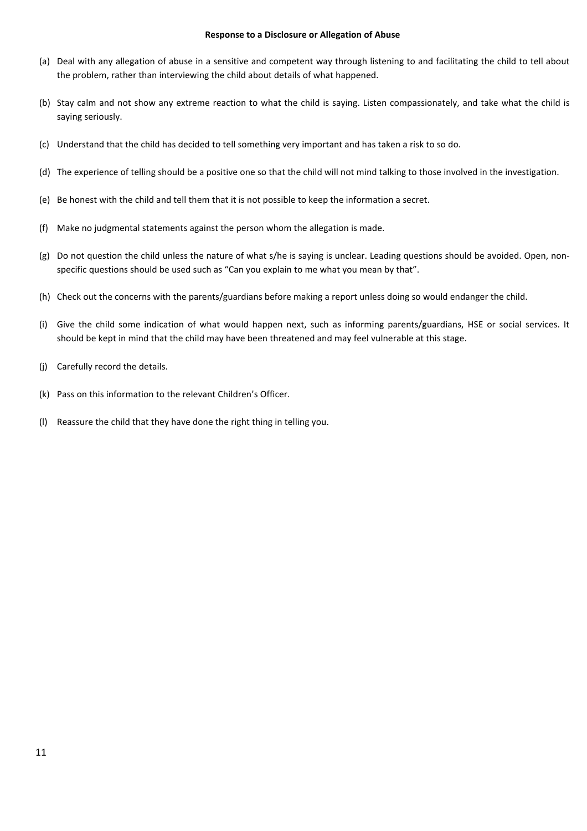#### **Response to a Disclosure or Allegation of Abuse**

- (a) Deal with any allegation of abuse in a sensitive and competent way through listening to and facilitating the child to tell about the problem, rather than interviewing the child about details of what happened.
- (b) Stay calm and not show any extreme reaction to what the child is saying. Listen compassionately, and take what the child is saying seriously.
- (c) Understand that the child has decided to tell something very important and has taken a risk to so do.
- (d) The experience of telling should be a positive one so that the child will not mind talking to those involved in the investigation.
- (e) Be honest with the child and tell them that it is not possible to keep the information a secret.
- (f) Make no judgmental statements against the person whom the allegation is made.
- (g) Do not question the child unless the nature of what s/he is saying is unclear. Leading questions should be avoided. Open, nonspecific questions should be used such as "Can you explain to me what you mean by that".
- (h) Check out the concerns with the parents/guardians before making a report unless doing so would endanger the child.
- (i) Give the child some indication of what would happen next, such as informing parents/guardians, HSE or social services. It should be kept in mind that the child may have been threatened and may feel vulnerable at this stage.
- (i) Carefully record the details.
- (k) Pass on this information to the relevant Children's Officer.
- (I) Reassure the child that they have done the right thing in telling you.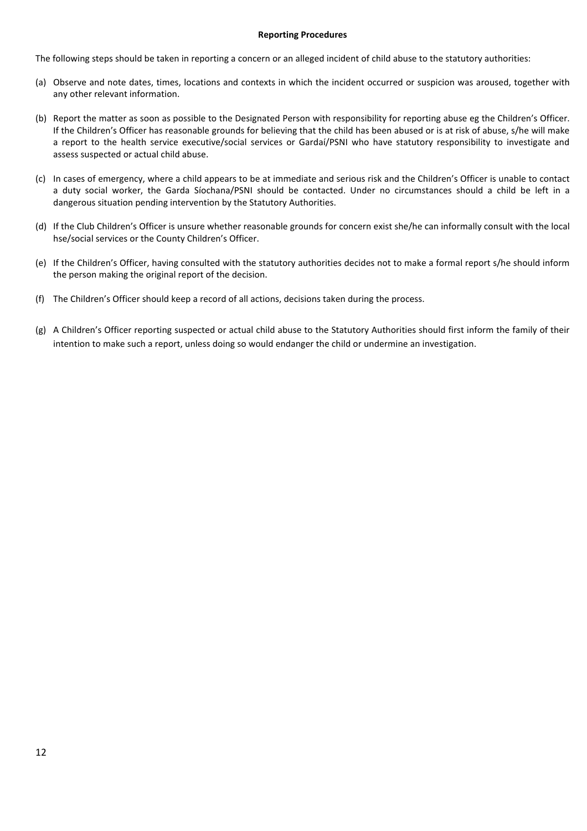### **Reporting Procedures**

The following steps should be taken in reporting a concern or an alleged incident of child abuse to the statutory authorities:

- (a) Observe and note dates, times, locations and contexts in which the incident occurred or suspicion was aroused, together with any other relevant information.
- (b) Report the matter as soon as possible to the Designated Person with responsibility for reporting abuse eg the Children's Officer. If the Children's Officer has reasonable grounds for believing that the child has been abused or is at risk of abuse, s/he will make a report to the health service executive/social services or Gardaí/PSNI who have statutory responsibility to investigate and assess suspected or actual child abuse.
- (c) In cases of emergency, where a child appears to be at immediate and serious risk and the Children's Officer is unable to contact a duty social worker, the Garda Síochana/PSNI should be contacted. Under no circumstances should a child be left in a dangerous situation pending intervention by the Statutory Authorities.
- (d) If the Club Children's Officer is unsure whether reasonable grounds for concern exist she/he can informally consult with the local hse/social services or the County Children's Officer.
- (e) If the Children's Officer, having consulted with the statutory authorities decides not to make a formal report s/he should inform the person making the original report of the decision.
- (f) The Children's Officer should keep a record of all actions, decisions taken during the process.
- (g) A Children's Officer reporting suspected or actual child abuse to the Statutory Authorities should first inform the family of their intention to make such a report, unless doing so would endanger the child or undermine an investigation.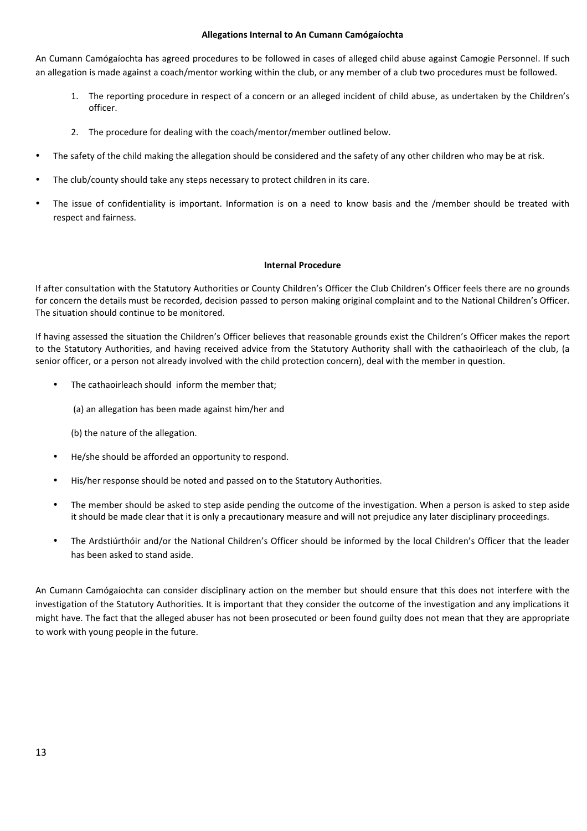### **Allegations Internal to An Cumann Camógaíochta**

An Cumann Camógaíochta has agreed procedures to be followed in cases of alleged child abuse against Camogie Personnel. If such an allegation is made against a coach/mentor working within the club, or any member of a club two procedures must be followed.

- 1. The reporting procedure in respect of a concern or an alleged incident of child abuse, as undertaken by the Children's officer.
- 2. The procedure for dealing with the coach/mentor/member outlined below.
- The safety of the child making the allegation should be considered and the safety of any other children who may be at risk.
- The club/county should take any steps necessary to protect children in its care.
- The issue of confidentiality is important. Information is on a need to know basis and the /member should be treated with respect and fairness.

## **Internal Procedure**

If after consultation with the Statutory Authorities or County Children's Officer the Club Children's Officer feels there are no grounds for concern the details must be recorded, decision passed to person making original complaint and to the National Children's Officer. The situation should continue to be monitored.

If having assessed the situation the Children's Officer believes that reasonable grounds exist the Children's Officer makes the report to the Statutory Authorities, and having received advice from the Statutory Authority shall with the cathaoirleach of the club, (a senior officer, or a person not already involved with the child protection concern), deal with the member in question.

- The cathaoirleach should inform the member that;
	- (a) an allegation has been made against him/her and
	- (b) the nature of the allegation.
- He/she should be afforded an opportunity to respond.
- His/her response should be noted and passed on to the Statutory Authorities.
- The member should be asked to step aside pending the outcome of the investigation. When a person is asked to step aside it should be made clear that it is only a precautionary measure and will not prejudice any later disciplinary proceedings.
- The Ardstiúrthóir and/or the National Children's Officer should be informed by the local Children's Officer that the leader has been asked to stand aside.

An Cumann Camógaíochta can consider disciplinary action on the member but should ensure that this does not interfere with the investigation of the Statutory Authorities. It is important that they consider the outcome of the investigation and any implications it might have. The fact that the alleged abuser has not been prosecuted or been found guilty does not mean that they are appropriate to work with young people in the future.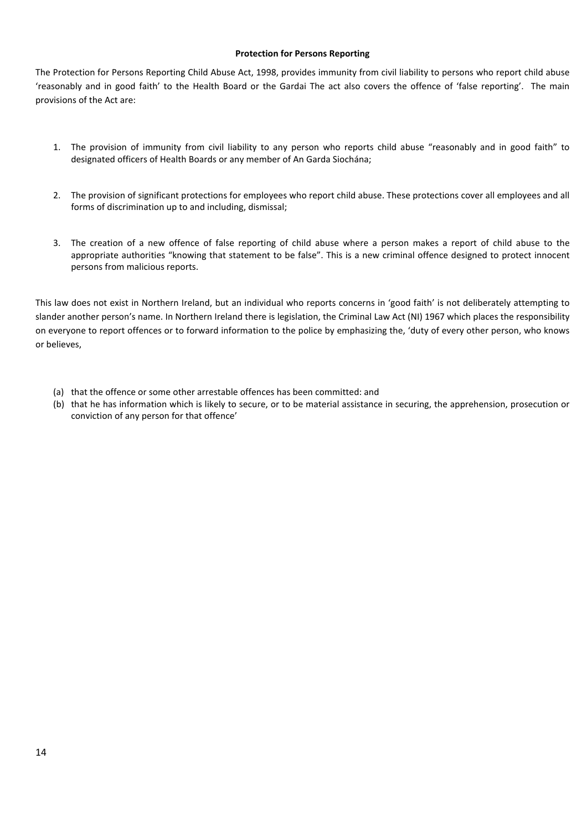## **Protection for Persons Reporting**

The Protection for Persons Reporting Child Abuse Act, 1998, provides immunity from civil liability to persons who report child abuse 'reasonably and in good faith' to the Health Board or the Gardai The act also covers the offence of 'false reporting'. The main provisions of the Act are:

- 1. The provision of immunity from civil liability to any person who reports child abuse "reasonably and in good faith" to designated officers of Health Boards or any member of An Garda Siochána;
- 2. The provision of significant protections for employees who report child abuse. These protections cover all employees and all forms of discrimination up to and including, dismissal;
- 3. The creation of a new offence of false reporting of child abuse where a person makes a report of child abuse to the appropriate authorities "knowing that statement to be false". This is a new criminal offence designed to protect innocent persons from malicious reports.

This law does not exist in Northern Ireland, but an individual who reports concerns in 'good faith' is not deliberately attempting to slander another person's name. In Northern Ireland there is legislation, the Criminal Law Act (NI) 1967 which places the responsibility on everyone to report offences or to forward information to the police by emphasizing the, 'duty of every other person, who knows or believes,

- (a) that the offence or some other arrestable offences has been committed: and
- (b) that he has information which is likely to secure, or to be material assistance in securing, the apprehension, prosecution or conviction of any person for that offence'